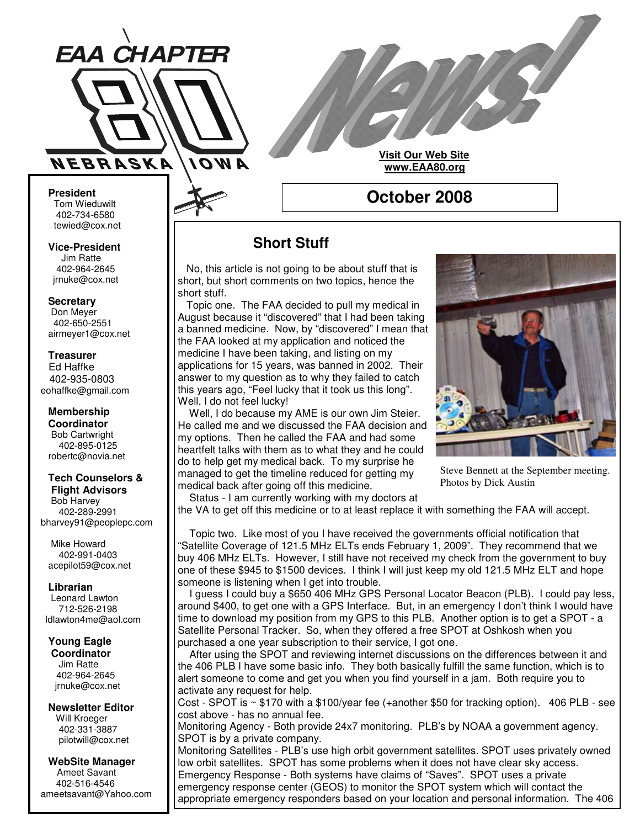

**Visit Our Web Site www.EAA80.org**

### **October 2008**

#### **President** Tom Wieduwilt 402-734-6580 tewied@cox.net

**Vice-President** Jim Ratte 402-964-2645 jrnuke@cox.net

#### **Secretary**

Don Meyer 402-650-2551 airmeyer1@cox.net

#### **Treasurer** Ed Haffke 402-935-0803 eohaffke@gmail.com

**Membership Coordinator** Bob Cartwright 402-895-0125 robertc@novia.net

#### **Tech Counselors & Flight Advisors**

Bob Harvey 402-289-2991 bharvey91@peoplepc.com

Mike Howard 402-991-0403 acepilot59@cox.net

**Librarian** Leonard Lawton 712-526-2198 ldlawton4me@aol.com

#### **Young Eagle Coordinator**

Jim Ratte 402-964-2645 jrnuke@cox.net

#### **Newsletter Editor** Will Kroeger 402-331-3887 pilotwill@cox.net

**WebSite Manager** Ameet Savant 402-516-4546 ameetsavant@Yahoo.com

## **Short Stuff**

No, this article is not going to be about stuff that is short, but short comments on two topics, hence the short stuff.

Topic one. The FAA decided to pull my medical in August because it "discovered" that I had been taking a banned medicine. Now, by "discovered" I mean that the FAA looked at my application and noticed the medicine I have been taking, and listing on my applications for 15 years, was banned in 2002. Their answer to my question as to why they failed to catch this years ago, "Feel lucky that it took us this long". Well, I do not feel lucky!

Well, I do because my AME is our own Jim Steier. He called me and we discussed the FAA decision and my options. Then he called the FAA and had some heartfelt talks with them as to what they and he could do to help get my medical back. To my surprise he managed to get the timeline reduced for getting my medical back after going off this medicine.



Steve Bennett at the September meeting. Photos by Dick Austin

Status - I am currently working with my doctors at the VA to get off this medicine or to at least replace it with something the FAA will accept.

Topic two. Like most of you I have received the governments official notification that "Satellite Coverage of 121.5 MHz ELTs ends February 1, 2009". They recommend that we buy 406 MHz ELTs. However, I still have not received my check from the government to buy one of these \$945 to \$1500 devices. I think I will just keep my old 121.5 MHz ELT and hope someone is listening when I get into trouble.

I guess I could buy a \$650 406 MHz GPS Personal Locator Beacon (PLB). I could pay less, around \$400, to get one with a GPS Interface. But, in an emergency I don't think I would have time to download my position from my GPS to this PLB. Another option is to get a SPOT - a Satellite Personal Tracker. So, when they offered a free SPOT at Oshkosh when you purchased a one year subscription to their service, I got one.

After using the SPOT and reviewing internet discussions on the differences between it and the 406 PLB I have some basic info. They both basically fulfill the same function, which is to alert someone to come and get you when you find yourself in a jam. Both require you to activate any request for help.

Cost - SPOT is ~ \$170 with a \$100/year fee (+another \$50 for tracking option). 406 PLB - see cost above - has no annual fee.

Monitoring Agency - Both provide 24x7 monitoring. PLB's by NOAA a government agency. SPOT is by a private company.

Monitoring Satellites - PLB's use high orbit government satellites. SPOT uses privately owned low orbit satellites. SPOT has some problems when it does not have clear sky access. Emergency Response - Both systems have claims of "Saves". SPOT uses a private emergency response center (GEOS) to monitor the SPOT system which will contact the appropriate emergency responders based on your location and personal information. The 406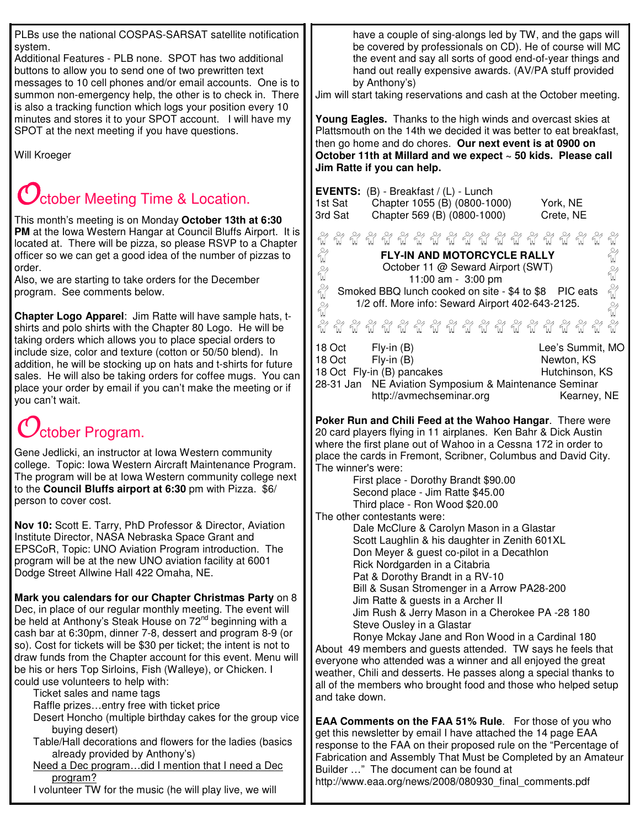PLBs use the national COSPAS-SARSAT satellite notification system.

Additional Features - PLB none. SPOT has two additional buttons to allow you to send one of two prewritten text messages to 10 cell phones and/or email accounts. One is to summon non-emergency help, the other is to check in. There is also a tracking function which logs your position every 10 minutes and stores it to your SPOT account. I will have my SPOT at the next meeting if you have questions.

Will Kroeger

## $\bigcup$ ctober Meeting Time & Location.

This month's meeting is on Monday **October 13th at 6:30 PM** at the Iowa Western Hangar at Council Bluffs Airport. It is located at. There will be pizza, so please RSVP to a Chapter officer so we can get a good idea of the number of pizzas to order.

Also, we are starting to take orders for the December program. See comments below.

**Chapter Logo Apparel**: Jim Ratte will have sample hats, tshirts and polo shirts with the Chapter 80 Logo. He will be taking orders which allows you to place special orders to include size, color and texture (cotton or 50/50 blend). In addition, he will be stocking up on hats and t-shirts for future sales. He will also be taking orders for coffee mugs. You can place your order by email if you can't make the meeting or if you can't wait.

# ctober Program.

Gene Jedlicki, an instructor at Iowa Western community college. Topic: Iowa Western Aircraft Maintenance Program. The program will be at Iowa Western community college next to the **Council Bluffs airport at 6:30** pm with Pizza. \$6/ person to cover cost.

**Nov 10:** Scott E. Tarry, PhD Professor & Director, Aviation Institute Director, NASA Nebraska Space Grant and EPSCoR, Topic: UNO Aviation Program introduction. The program will be at the new UNO aviation facility at 6001 Dodge Street Allwine Hall 422 Omaha, NE.

**Mark you calendars for our Chapter Christmas Party** on 8 Dec, in place of our regular monthly meeting. The event will be held at Anthony's Steak House on 72<sup>nd</sup> beginning with a cash bar at 6:30pm, dinner 7-8, dessert and program 8-9 (or so). Cost for tickets will be \$30 per ticket; the intent is not to draw funds from the Chapter account for this event. Menu will be his or hers Top Sirloins, Fish (Walleye), or Chicken. I could use volunteers to help with:

Ticket sales and name tags

Raffle prizes…entry free with ticket price

- Desert Honcho (multiple birthday cakes for the group vice buying desert)
- Table/Hall decorations and flowers for the ladies (basics already provided by Anthony's)
- Need a Dec program…did I mention that I need a Dec program?

I volunteer TW for the music (he will play live, we will

have a couple of sing-alongs led by TW, and the gaps will be covered by professionals on CD). He of course will MC the event and say all sorts of good end-of-year things and hand out really expensive awards. (AV/PA stuff provided by Anthony's)

Jim will start taking reservations and cash at the October meeting.

**Young Eagles.** Thanks to the high winds and overcast skies at Plattsmouth on the 14th we decided it was better to eat breakfast, then go home and do chores. **Our next event is at 0900 on October 11th at Millard and we expect ~ 50 kids. Please call Jim Ratte if you can help.**

| EVENTS: (B) - Breakfast / (L) - Lunch<br>Chapter 1055 (B) (0800-1000)<br>York, NE<br>1st Sat<br>3rd Sat<br>Chapter 569 (B) (0800-1000)<br>Crete, NE                                                                                                                                                                                                                                                                               |
|-----------------------------------------------------------------------------------------------------------------------------------------------------------------------------------------------------------------------------------------------------------------------------------------------------------------------------------------------------------------------------------------------------------------------------------|
| ECECECECEC<br>Eg Eg Eg<br>FLY-IN AND MOTORCYCLE RALLY<br>October 11 @ Seward Airport (SWT)<br>11:00 am - 3:00 pm<br>Smoked BBQ lunch cooked on site - \$4 to \$8 PIC eats<br>1/2 off. More info: Seward Airport 402-643-2125.<br>$\frac{1}{2}$<br>$\frac{1}{2}$                                                                                                                                                                   |
| 18 Oct<br>$Fly-in(B)$<br>Lee's Summit, MO<br>$Fly-in(B)$<br>Newton, KS<br>18 Oct<br>18 Oct Fly-in (B) pancakes<br>Hutchinson, KS<br>28-31 Jan<br>NE Aviation Symposium & Maintenance Seminar<br>http://avmechseminar.org<br>Kearney, NE                                                                                                                                                                                           |
| Poker Run and Chili Feed at the Wahoo Hangar. There were<br>20 card players flying in 11 airplanes. Ken Bahr & Dick Austin<br>where the first plane out of Wahoo in a Cessna 172 in order to<br>place the cards in Fremont, Scribner, Columbus and David City.<br>The winner's were:<br>First place - Dorothy Brandt \$90.00<br>Second place - Jim Ratte \$45.00<br>Third place - Ron Wood \$20.00<br>The other contestants were: |
| Dale McClure & Carolyn Mason in a Glastar<br>Scott Laughlin & his daughter in Zenith 601XL<br>Don Meyer & guest co-pilot in a Decathlon<br>Rick Nordgarden in a Citabria<br>Pat & Dorothy Brandt in a RV-10<br>Bill & Susan Stromenger in a Arrow PA28-200<br>Jim Ratte & guests in a Archer II<br>lim Rush & Jerry Mason in a Cherokee PA -28 180.                                                                               |

Jim Rush & Jerry Mason in a Cherokee Steve Ousley in a Glastar

Ronye Mckay Jane and Ron Wood in a Cardinal 180 About 49 members and guests attended. TW says he feels that everyone who attended was a winner and all enjoyed the great weather, Chili and desserts. He passes along a special thanks to all of the members who brought food and those who helped setup and take down.

**EAA Comments on the FAA 51% Rule**. For those of you who get this newsletter by email I have attached the 14 page EAA response to the FAA on their proposed rule on the "Percentage of Fabrication and Assembly That Must be Completed by an Amateur Builder …" The document can be found at http://www.eaa.org/news/2008/080930\_final\_comments.pdf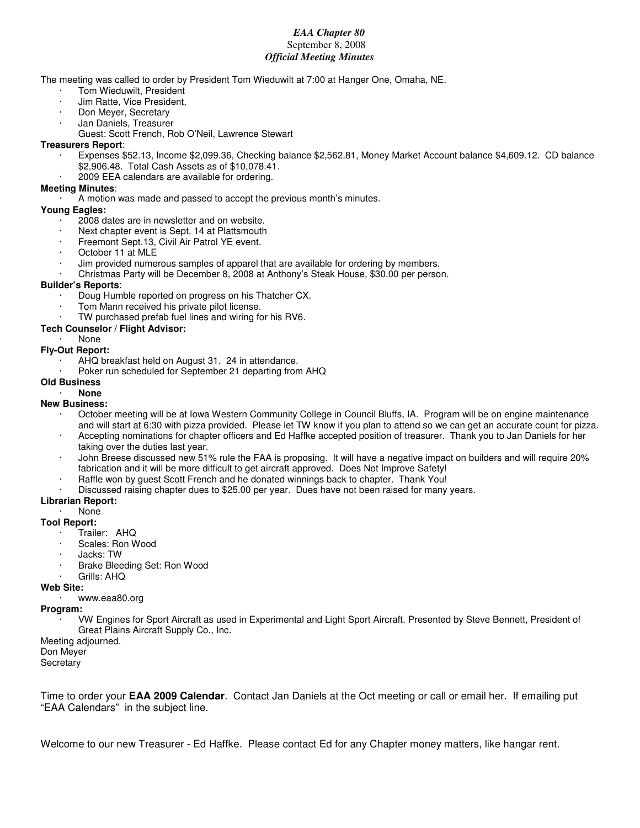#### *EAA Chapter 80* September 8, 2008 *Official Meeting Minutes*

The meeting was called to order by President Tom Wieduwilt at 7:00 at Hanger One, Omaha, NE.

- Tom Wieduwilt, President
- · Jim Ratte, Vice President,
- · Don Meyer, Secretary
- Jan Daniels, Treasurer
- Guest: Scott French, Rob O'Neil, Lawrence Stewart

#### **Treasurers Report**:

- · Expenses \$52.13, Income \$2,099.36, Checking balance \$2,562.81, Money Market Account balance \$4,609.12. CD balance \$2,906.48. Total Cash Assets as of \$10,078.41.
- 2009 EEA calendars are available for ordering.

#### **Meeting Minutes**:

· A motion was made and passed to accept the previous month's minutes.

#### **Young Eagles:**

- · 2008 dates are in newsletter and on website.
- Next chapter event is Sept. 14 at Plattsmouth
- Freemont Sept.13, Civil Air Patrol YE event.
- October 11 at MLE
- · Jim provided numerous samples of apparel that are available for ordering by members.
- · Christmas Party will be December 8, 2008 at Anthony's Steak House, \$30.00 per person.

#### **Builder's Reports**:

- · Doug Humble reported on progress on his Thatcher CX.
- · Tom Mann received his private pilot license.
- TW purchased prefab fuel lines and wiring for his RV6.

#### **Tech Counselor / Flight Advisor:**

· None

#### **Fly-Out Report:**

- AHQ breakfast held on August 31. 24 in attendance.
- Poker run scheduled for September 21 departing from AHQ
- **Old Business**

#### · **None**

#### **New Business:**

- October meeting will be at Iowa Western Community College in Council Bluffs, IA. Program will be on engine maintenance and will start at 6:30 with pizza provided. Please let TW know if you plan to attend so we can get an accurate count for pizza.
- · Accepting nominations for chapter officers and Ed Haffke accepted position of treasurer. Thank you to Jan Daniels for her taking over the duties last year.
- · John Breese discussed new 51% rule the FAA is proposing. It will have a negative impact on builders and will require 20% fabrication and it will be more difficult to get aircraft approved. Does Not Improve Safety!
- Raffle won by quest Scott French and he donated winnings back to chapter. Thank You!
- Discussed raising chapter dues to \$25.00 per year. Dues have not been raised for many years.

#### **Librarian Report:**

#### · None

#### **Tool Report:**

- · Trailer: AHQ
- Scales: Ron Wood
- Jacks: TW
- Brake Bleeding Set: Ron Wood
- Grills: AHQ

#### **Web Site:**

· www.eaa80.org

#### **Program:**

· VW Engines for Sport Aircraft as used in Experimental and Light Sport Aircraft. Presented by Steve Bennett, President of Great Plains Aircraft Supply Co., Inc.

Meeting adjourned.

#### Don Meyer

**Secretary** 

Time to order your **EAA 2009 Calendar**. Contact Jan Daniels at the Oct meeting or call or email her. If emailing put "EAA Calendars" in the subject line.

Welcome to our new Treasurer - Ed Haffke. Please contact Ed for any Chapter money matters, like hangar rent.